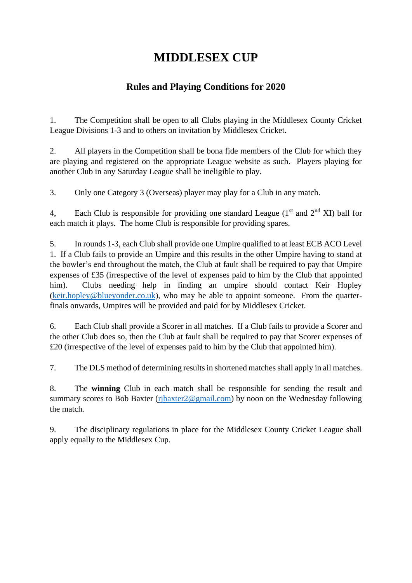# **MIDDLESEX CUP**

# **Rules and Playing Conditions for 2020**

1. The Competition shall be open to all Clubs playing in the Middlesex County Cricket League Divisions 1-3 and to others on invitation by Middlesex Cricket.

2. All players in the Competition shall be bona fide members of the Club for which they are playing and registered on the appropriate League website as such. Players playing for another Club in any Saturday League shall be ineligible to play.

3. Only one Category 3 (Overseas) player may play for a Club in any match.

4, Each Club is responsible for providing one standard League  $(1<sup>st</sup>$  and  $2<sup>nd</sup>$  XI) ball for each match it plays. The home Club is responsible for providing spares.

5. In rounds 1-3, each Club shall provide one Umpire qualified to at least ECB ACO Level 1. If a Club fails to provide an Umpire and this results in the other Umpire having to stand at the bowler's end throughout the match, the Club at fault shall be required to pay that Umpire expenses of £35 (irrespective of the level of expenses paid to him by the Club that appointed him). Clubs needing help in finding an umpire should contact Keir Hopley [\(keir.hopley@blueyonder.co.uk\)](mailto:keir.hopley@blueyonder.co.uk), who may be able to appoint someone. From the quarterfinals onwards, Umpires will be provided and paid for by Middlesex Cricket.

6. Each Club shall provide a Scorer in all matches. If a Club fails to provide a Scorer and the other Club does so, then the Club at fault shall be required to pay that Scorer expenses of £20 (irrespective of the level of expenses paid to him by the Club that appointed him).

7. The DLS method of determining results in shortened matches shall apply in all matches.

8. The **winning** Club in each match shall be responsible for sending the result and summary scores to Bob Baxter (ribaxter2@gmail.com) by noon on the Wednesday following the match.

9. The disciplinary regulations in place for the Middlesex County Cricket League shall apply equally to the Middlesex Cup.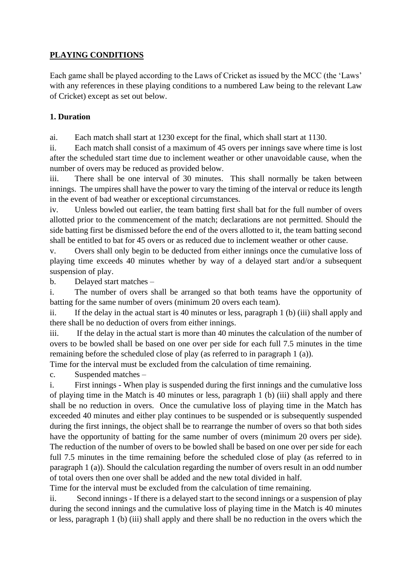### **PLAYING CONDITIONS**

Each game shall be played according to the Laws of Cricket as issued by the MCC (the 'Laws' with any references in these playing conditions to a numbered Law being to the relevant Law of Cricket) except as set out below.

#### **1. Duration**

ai. Each match shall start at 1230 except for the final, which shall start at 1130.

ii. Each match shall consist of a maximum of 45 overs per innings save where time is lost after the scheduled start time due to inclement weather or other unavoidable cause, when the number of overs may be reduced as provided below.

iii. There shall be one interval of 30 minutes. This shall normally be taken between innings. The umpires shall have the power to vary the timing of the interval or reduce its length in the event of bad weather or exceptional circumstances.

iv. Unless bowled out earlier, the team batting first shall bat for the full number of overs allotted prior to the commencement of the match; declarations are not permitted. Should the side batting first be dismissed before the end of the overs allotted to it, the team batting second shall be entitled to bat for 45 overs or as reduced due to inclement weather or other cause.

v. Overs shall only begin to be deducted from either innings once the cumulative loss of playing time exceeds 40 minutes whether by way of a delayed start and/or a subsequent suspension of play.

b. Delayed start matches –

i. The number of overs shall be arranged so that both teams have the opportunity of batting for the same number of overs (minimum 20 overs each team).

ii. If the delay in the actual start is 40 minutes or less, paragraph 1 (b) (iii) shall apply and there shall be no deduction of overs from either innings.

iii. If the delay in the actual start is more than 40 minutes the calculation of the number of overs to be bowled shall be based on one over per side for each full 7.5 minutes in the time remaining before the scheduled close of play (as referred to in paragraph 1 (a)).

Time for the interval must be excluded from the calculation of time remaining.

c. Suspended matches –

i. First innings - When play is suspended during the first innings and the cumulative loss of playing time in the Match is 40 minutes or less, paragraph 1 (b) (iii) shall apply and there shall be no reduction in overs. Once the cumulative loss of playing time in the Match has exceeded 40 minutes and either play continues to be suspended or is subsequently suspended during the first innings, the object shall be to rearrange the number of overs so that both sides have the opportunity of batting for the same number of overs (minimum 20 overs per side). The reduction of the number of overs to be bowled shall be based on one over per side for each full 7.5 minutes in the time remaining before the scheduled close of play (as referred to in paragraph 1 (a)). Should the calculation regarding the number of overs result in an odd number of total overs then one over shall be added and the new total divided in half.

Time for the interval must be excluded from the calculation of time remaining.

ii. Second innings - If there is a delayed start to the second innings or a suspension of play during the second innings and the cumulative loss of playing time in the Match is 40 minutes or less, paragraph 1 (b) (iii) shall apply and there shall be no reduction in the overs which the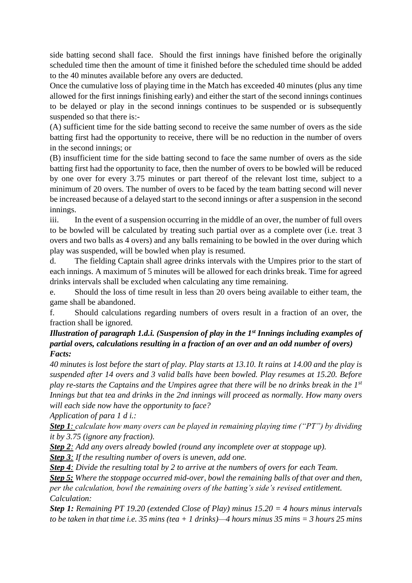side batting second shall face. Should the first innings have finished before the originally scheduled time then the amount of time it finished before the scheduled time should be added to the 40 minutes available before any overs are deducted.

Once the cumulative loss of playing time in the Match has exceeded 40 minutes (plus any time allowed for the first innings finishing early) and either the start of the second innings continues to be delayed or play in the second innings continues to be suspended or is subsequently suspended so that there is:-

(A) sufficient time for the side batting second to receive the same number of overs as the side batting first had the opportunity to receive, there will be no reduction in the number of overs in the second innings; or

(B) insufficient time for the side batting second to face the same number of overs as the side batting first had the opportunity to face, then the number of overs to be bowled will be reduced by one over for every 3.75 minutes or part thereof of the relevant lost time, subject to a minimum of 20 overs. The number of overs to be faced by the team batting second will never be increased because of a delayed start to the second innings or after a suspension in the second innings.

iii. In the event of a suspension occurring in the middle of an over, the number of full overs to be bowled will be calculated by treating such partial over as a complete over (i.e. treat 3 overs and two balls as 4 overs) and any balls remaining to be bowled in the over during which play was suspended, will be bowled when play is resumed.

d. The fielding Captain shall agree drinks intervals with the Umpires prior to the start of each innings. A maximum of 5 minutes will be allowed for each drinks break. Time for agreed drinks intervals shall be excluded when calculating any time remaining.

e. Should the loss of time result in less than 20 overs being available to either team, the game shall be abandoned.

f. Should calculations regarding numbers of overs result in a fraction of an over, the fraction shall be ignored.

#### *Illustration of paragraph 1.d.i. (Suspension of play in the 1st Innings including examples of partial overs, calculations resulting in a fraction of an over and an odd number of overs) Facts:*

*40 minutes is lost before the start of play. Play starts at 13.10. It rains at 14.00 and the play is suspended after 14 overs and 3 valid balls have been bowled. Play resumes at 15.20. Before play re-starts the Captains and the Umpires agree that there will be no drinks break in the 1st Innings but that tea and drinks in the 2nd innings will proceed as normally. How many overs will each side now have the opportunity to face?*

*Application of para 1 d i.:* 

*Step 1: calculate how many overs can be played in remaining playing time ("PT") by dividing it by 3.75 (ignore any fraction).* 

*Step 2: Add any overs already bowled (round any incomplete over at stoppage up).*

*Step 3: If the resulting number of overs is uneven, add one.*

*Step 4: Divide the resulting total by 2 to arrive at the numbers of overs for each Team.*

*Step 5: Where the stoppage occurred mid-over, bowl the remaining balls of that over and then, per the calculation, bowl the remaining overs of the batting's side's revised entitlement. Calculation:*

*Step 1: Remaining PT 19.20 (extended Close of Play) minus 15.20 = 4 hours minus intervals to be taken in that time i.e. 35 mins (tea + 1 drinks)—4 hours minus 35 mins = 3 hours 25 mins*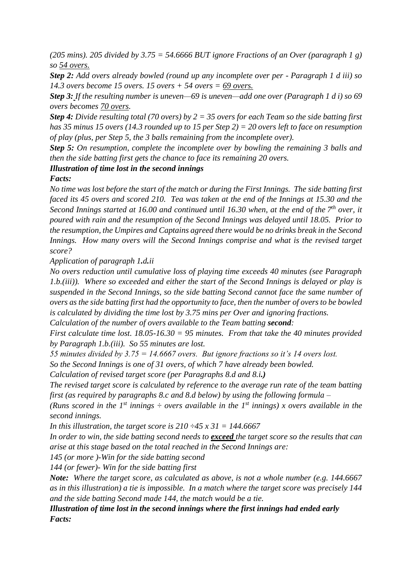*(205 mins). 205 divided by 3.75 = 54.6666 BUT ignore Fractions of an Over (paragraph 1 g) so 54 overs.*

*Step 2: Add overs already bowled (round up any incomplete over per - Paragraph 1 d iii) so 14.3 overs become 15 overs. 15 overs + 54 overs = 69 overs.* 

*Step 3: If the resulting number is uneven—69 is uneven—add one over (Paragraph 1 d i) so 69 overs becomes 70 overs.* 

*Step 4: Divide resulting total (70 overs) by 2 = 35 overs for each Team so the side batting first has 35 minus 15 overs (14.3 rounded up to 15 per Step 2) = 20 overs left to face on resumption of play (plus, per Step 5, the 3 balls remaining from the incomplete over).* 

*Step 5: On resumption, complete the incomplete over by bowling the remaining 3 balls and then the side batting first gets the chance to face its remaining 20 overs.*

#### *Illustration of time lost in the second innings*

#### *Facts:*

*No time was lost before the start of the match or during the First Innings. The side batting first faced its 45 overs and scored 210. Tea was taken at the end of the Innings at 15.30 and the Second Innings started at 16.00 and continued until 16.30 when, at the end of the 7<sup>th</sup> over, it poured with rain and the resumption of the Second Innings was delayed until 18.05. Prior to the resumption, the Umpires and Captains agreed there would be no drinks break in the Second Innings. How many overs will the Second Innings comprise and what is the revised target score?*

*Application of paragraph 1.d.ii*

*No overs reduction until cumulative loss of playing time exceeds 40 minutes (see Paragraph 1.b.(iii)). Where so exceeded and either the start of the Second Innings is delayed or play is suspended in the Second Innings, so the side batting Second cannot face the same number of overs as the side batting first had the opportunity to face, then the number of overs to be bowled is calculated by dividing the time lost by 3.75 mins per Over and ignoring fractions.*

*Calculation of the number of overs available to the Team batting <i>second*:

*First calculate time lost. 18.05-16.30 = 95 minutes. From that take the 40 minutes provided by Paragraph 1.b.(iii). So 55 minutes are lost.*

*55 minutes divided by 3.75 = 14.6667 overs. But ignore fractions so it's 14 overs lost.*

*So the Second Innings is one of 31 overs, of which 7 have already been bowled.*

*Calculation of revised target score (per Paragraphs 8.d and 8.i.)*

*The revised target score is calculated by reference to the average run rate of the team batting first (as required by paragraphs 8.c and 8.d below) by using the following formula –*

*(Runs scored in the 1<sup>st</sup> innings*  $\div$  *overs available in the 1<sup>st</sup> innings) x overs available in the second innings.*

*In this illustration, the target score is 210 ÷45 x 31 = 144.6667*

*In order to win, the side batting second needs to exceed the target score so the results that can arise at this stage based on the total reached in the Second Innings are:*

*145 (or more )-Win for the side batting second*

*144 (or fewer)- Win for the side batting first*

*Note: Where the target score, as calculated as above, is not a whole number (e.g. 144.6667 as in this illustration) a tie is impossible. In a match where the target score was precisely 144 and the side batting Second made 144, the match would be a tie.*

#### *Illustration of time lost in the second innings where the first innings had ended early Facts:*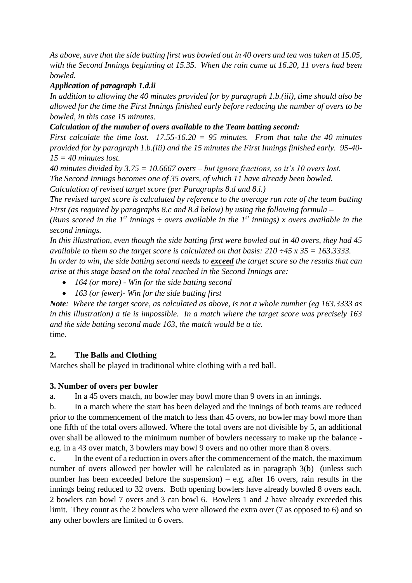*As above, save that the side batting first was bowled out in 40 overs and tea was taken at 15.05, with the Second Innings beginning at 15.35. When the rain came at 16.20, 11 overs had been bowled.*

#### *Application of paragraph 1.d.ii*

*In addition to allowing the 40 minutes provided for by paragraph 1.b.(iii), time should also be allowed for the time the First Innings finished early before reducing the number of overs to be bowled, in this case 15 minutes.*

#### *Calculation of the number of overs available to the Team batting second:*

*First calculate the time lost. 17.55-16.20 = 95 minutes. From that take the 40 minutes provided for by paragraph 1.b.(iii) and the 15 minutes the First Innings finished early. 95-40- 15 = 40 minutes lost.*

*40 minutes divided by 3.75 = 10.6667 overs – but ignore fractions, so it's 10 overs lost. The Second Innings becomes one of 35 overs, of which 11 have already been bowled. Calculation of revised target score (per Paragraphs 8.d and 8.i.)*

*The revised target score is calculated by reference to the average run rate of the team batting First (as required by paragraphs 8.c and 8.d below) by using the following formula –*

*(Runs scored in the 1<sup>st</sup> innings*  $\div$  *overs available in the 1<sup>st</sup> innings) x overs available in the second innings.*

*In this illustration, even though the side batting first were bowled out in 40 overs, they had 45 available to them so the target score is calculated on that basis: 210 ÷45 x 35 = 163.3333. In order to win, the side batting second needs to exceed the target score so the results that can* 

*arise at this stage based on the total reached in the Second Innings are:*

- *164 (or more) - Win for the side batting second*
- *163 (or fewer)- Win for the side batting first*

*Note: Where the target score, as calculated as above, is not a whole number (eg 163.3333 as in this illustration) a tie is impossible. In a match where the target score was precisely 163 and the side batting second made 163, the match would be a tie.* time.

#### **2. The Balls and Clothing**

Matches shall be played in traditional white clothing with a red ball.

#### **3. Number of overs per bowler**

a. In a 45 overs match, no bowler may bowl more than 9 overs in an innings.

b. In a match where the start has been delayed and the innings of both teams are reduced prior to the commencement of the match to less than 45 overs, no bowler may bowl more than one fifth of the total overs allowed. Where the total overs are not divisible by 5, an additional over shall be allowed to the minimum number of bowlers necessary to make up the balance e.g. in a 43 over match, 3 bowlers may bowl 9 overs and no other more than 8 overs.

c. In the event of a reduction in overs after the commencement of the match, the maximum number of overs allowed per bowler will be calculated as in paragraph 3(b) (unless such number has been exceeded before the suspension) – e.g. after 16 overs, rain results in the innings being reduced to 32 overs. Both opening bowlers have already bowled 8 overs each. 2 bowlers can bowl 7 overs and 3 can bowl 6. Bowlers 1 and 2 have already exceeded this limit. They count as the 2 bowlers who were allowed the extra over (7 as opposed to 6) and so any other bowlers are limited to 6 overs.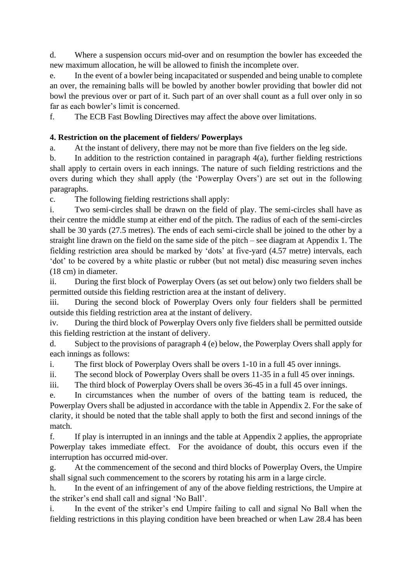d. Where a suspension occurs mid-over and on resumption the bowler has exceeded the new maximum allocation, he will be allowed to finish the incomplete over.

e. In the event of a bowler being incapacitated or suspended and being unable to complete an over, the remaining balls will be bowled by another bowler providing that bowler did not bowl the previous over or part of it. Such part of an over shall count as a full over only in so far as each bowler's limit is concerned.

f. The ECB Fast Bowling Directives may affect the above over limitations.

#### **4. Restriction on the placement of fielders/ Powerplays**

a. At the instant of delivery, there may not be more than five fielders on the leg side.

b. In addition to the restriction contained in paragraph 4(a), further fielding restrictions shall apply to certain overs in each innings. The nature of such fielding restrictions and the overs during which they shall apply (the 'Powerplay Overs') are set out in the following paragraphs.

c. The following fielding restrictions shall apply:

i. Two semi-circles shall be drawn on the field of play. The semi-circles shall have as their centre the middle stump at either end of the pitch. The radius of each of the semi-circles shall be 30 yards (27.5 metres). The ends of each semi-circle shall be joined to the other by a straight line drawn on the field on the same side of the pitch – see diagram at Appendix 1. The fielding restriction area should be marked by 'dots' at five-yard (4.57 metre) intervals, each 'dot' to be covered by a white plastic or rubber (but not metal) disc measuring seven inches (18 cm) in diameter.

ii. During the first block of Powerplay Overs (as set out below) only two fielders shall be permitted outside this fielding restriction area at the instant of delivery.

iii. During the second block of Powerplay Overs only four fielders shall be permitted outside this fielding restriction area at the instant of delivery.

iv. During the third block of Powerplay Overs only five fielders shall be permitted outside this fielding restriction at the instant of delivery.

d. Subject to the provisions of paragraph 4 (e) below, the Powerplay Overs shall apply for each innings as follows:

i. The first block of Powerplay Overs shall be overs 1-10 in a full 45 over innings.

ii. The second block of Powerplay Overs shall be overs 11-35 in a full 45 over innings.

iii. The third block of Powerplay Overs shall be overs 36-45 in a full 45 over innings.

e. In circumstances when the number of overs of the batting team is reduced, the Powerplay Overs shall be adjusted in accordance with the table in Appendix 2. For the sake of clarity, it should be noted that the table shall apply to both the first and second innings of the match.

f. If play is interrupted in an innings and the table at Appendix 2 applies, the appropriate Powerplay takes immediate effect. For the avoidance of doubt, this occurs even if the interruption has occurred mid-over.

g. At the commencement of the second and third blocks of Powerplay Overs, the Umpire shall signal such commencement to the scorers by rotating his arm in a large circle.

h. In the event of an infringement of any of the above fielding restrictions, the Umpire at the striker's end shall call and signal 'No Ball'.

i. In the event of the striker's end Umpire failing to call and signal No Ball when the fielding restrictions in this playing condition have been breached or when Law 28.4 has been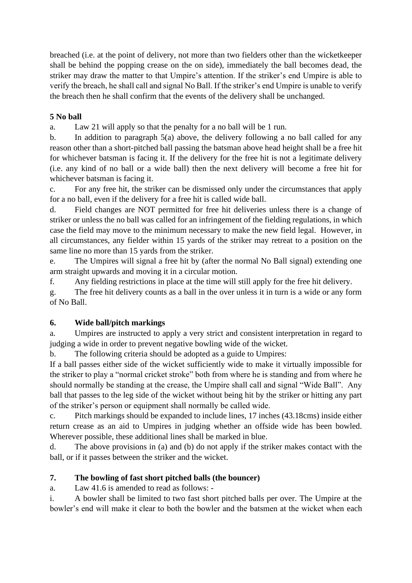breached (i.e. at the point of delivery, not more than two fielders other than the wicketkeeper shall be behind the popping crease on the on side), immediately the ball becomes dead, the striker may draw the matter to that Umpire's attention. If the striker's end Umpire is able to verify the breach, he shall call and signal No Ball. If the striker's end Umpire is unable to verify the breach then he shall confirm that the events of the delivery shall be unchanged.

#### **5 No ball**

a. Law 21 will apply so that the penalty for a no ball will be 1 run.

b. In addition to paragraph 5(a) above, the delivery following a no ball called for any reason other than a short-pitched ball passing the batsman above head height shall be a free hit for whichever batsman is facing it. If the delivery for the free hit is not a legitimate delivery (i.e. any kind of no ball or a wide ball) then the next delivery will become a free hit for whichever batsman is facing it.

c. For any free hit, the striker can be dismissed only under the circumstances that apply for a no ball, even if the delivery for a free hit is called wide ball.

d. Field changes are NOT permitted for free hit deliveries unless there is a change of striker or unless the no ball was called for an infringement of the fielding regulations, in which case the field may move to the minimum necessary to make the new field legal. However, in all circumstances, any fielder within 15 yards of the striker may retreat to a position on the same line no more than 15 yards from the striker.

e. The Umpires will signal a free hit by (after the normal No Ball signal) extending one arm straight upwards and moving it in a circular motion.

f. Any fielding restrictions in place at the time will still apply for the free hit delivery.

g. The free hit delivery counts as a ball in the over unless it in turn is a wide or any form of No Ball.

#### **6. Wide ball/pitch markings**

a. Umpires are instructed to apply a very strict and consistent interpretation in regard to judging a wide in order to prevent negative bowling wide of the wicket.

b. The following criteria should be adopted as a guide to Umpires:

If a ball passes either side of the wicket sufficiently wide to make it virtually impossible for the striker to play a "normal cricket stroke" both from where he is standing and from where he should normally be standing at the crease, the Umpire shall call and signal "Wide Ball". Any ball that passes to the leg side of the wicket without being hit by the striker or hitting any part of the striker's person or equipment shall normally be called wide.

c. Pitch markings should be expanded to include lines, 17 inches (43.18cms) inside either return crease as an aid to Umpires in judging whether an offside wide has been bowled. Wherever possible, these additional lines shall be marked in blue.

d. The above provisions in (a) and (b) do not apply if the striker makes contact with the ball, or if it passes between the striker and the wicket.

## **7. The bowling of fast short pitched balls (the bouncer)**

a. Law 41.6 is amended to read as follows: -

i. A bowler shall be limited to two fast short pitched balls per over. The Umpire at the bowler's end will make it clear to both the bowler and the batsmen at the wicket when each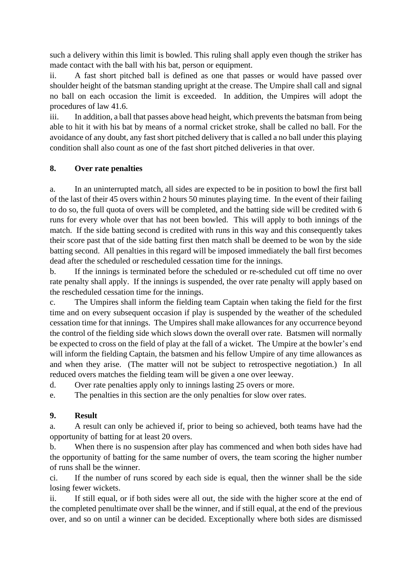such a delivery within this limit is bowled. This ruling shall apply even though the striker has made contact with the ball with his bat, person or equipment.

ii. A fast short pitched ball is defined as one that passes or would have passed over shoulder height of the batsman standing upright at the crease. The Umpire shall call and signal no ball on each occasion the limit is exceeded. In addition, the Umpires will adopt the procedures of law 41.6.

iii. In addition, a ball that passes above head height, which prevents the batsman from being able to hit it with his bat by means of a normal cricket stroke, shall be called no ball. For the avoidance of any doubt, any fast short pitched delivery that is called a no ball under this playing condition shall also count as one of the fast short pitched deliveries in that over.

#### **8. Over rate penalties**

a. In an uninterrupted match, all sides are expected to be in position to bowl the first ball of the last of their 45 overs within 2 hours 50 minutes playing time. In the event of their failing to do so, the full quota of overs will be completed, and the batting side will be credited with 6 runs for every whole over that has not been bowled. This will apply to both innings of the match. If the side batting second is credited with runs in this way and this consequently takes their score past that of the side batting first then match shall be deemed to be won by the side batting second. All penalties in this regard will be imposed immediately the ball first becomes dead after the scheduled or rescheduled cessation time for the innings.

b. If the innings is terminated before the scheduled or re-scheduled cut off time no over rate penalty shall apply. If the innings is suspended, the over rate penalty will apply based on the rescheduled cessation time for the innings.

c. The Umpires shall inform the fielding team Captain when taking the field for the first time and on every subsequent occasion if play is suspended by the weather of the scheduled cessation time for that innings. The Umpires shall make allowances for any occurrence beyond the control of the fielding side which slows down the overall over rate. Batsmen will normally be expected to cross on the field of play at the fall of a wicket. The Umpire at the bowler's end will inform the fielding Captain, the batsmen and his fellow Umpire of any time allowances as and when they arise. (The matter will not be subject to retrospective negotiation.) In all reduced overs matches the fielding team will be given a one over leeway.

d. Over rate penalties apply only to innings lasting 25 overs or more.

e. The penalties in this section are the only penalties for slow over rates.

#### **9. Result**

a. A result can only be achieved if, prior to being so achieved, both teams have had the opportunity of batting for at least 20 overs.

b. When there is no suspension after play has commenced and when both sides have had the opportunity of batting for the same number of overs, the team scoring the higher number of runs shall be the winner.

ci. If the number of runs scored by each side is equal, then the winner shall be the side losing fewer wickets.

ii. If still equal, or if both sides were all out, the side with the higher score at the end of the completed penultimate over shall be the winner, and if still equal, at the end of the previous over, and so on until a winner can be decided. Exceptionally where both sides are dismissed